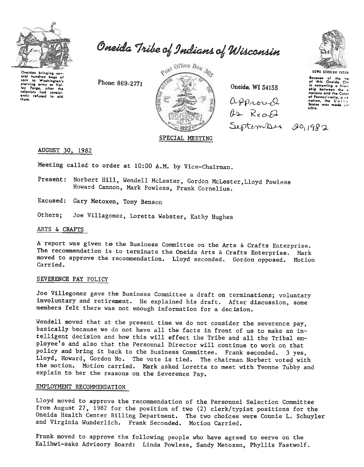

Oneida Tribe of Indians of Wisconsin

Oneidas bringing sov bundrod bags of corn to Washington's starving army at Val-<br>Iey Forge, after the<br>colonists had consistantly refused to aid  $H<sub>cm</sub>$ 

Phone: 869-2771



Oneida, WI 54155

CL/Pt).-'L.~Q  $0 - Re_0 8$  $SeptemV$ 



UGWA OEHOlUH YATEH secause of the he<br>of this Oneida Chi in comenting a frien<br>ship between the s nations and the Color of Pennsylvania, a nonation, the Unites<br>States was made so .ibl,..

### SPECIAL MEETING

AUGUST 30, 1982

Meeting called to order at 10:00 A.M. by Vice-Chairman.

- Present: Norbert Hill, Wendell McLester, Gordon McLester, Lloyd Powless Howard Cannon, Mark Powless, Frank Cornelius.
- Excused: Gary Metoxen, Tony Benson
- Joe Villagomez, Loretta Webster, Kathy Hughes Others:

## ARTS & CRAFTS-

A report was given to the Business Committee on the Arts & Crafts Enterprise. The recommendation is to terminate the Oneida Arts & Crafts Enterprise. Mark moved to approve the recommendation. Lloyd seconded. Gordon opposed. Motion Carried.

#### SEVERENCE PAY POLICY

Joe Villegomez gave the Business Committee a draft on terminations; voluntary involuntary and retirement. He explained his draft. After discussion, some members felt there was not enough information for a decision.

Wendell moved that at the present time we do not consider the severence pay, basically because we do not have all the facts in front of us to make an intelligent decision and how this will effect the Tribe and all the Tribal employee's and also that the Personnal Director will continue to work on that policy and bring it back to the Business Committee. Frank seconded. 3 yes, Lloyd, Howard, Gordon No. The vote is tied. The chairman Norbert voted with the motion. Motion carried. Mark asked Loretta to meet with Yvonne Tubby and explain to her the reasons on the Severence Pay.

## EMPLOYMENT RECOMMENDATION

Lloyd moved to approve the recommendation of the Personnel Selection Committee from August 27, 1982 for the position of two (2) clerk/typist positions for the Oneida Health Center Billing Department. The two choices were Connie L. Schuyler and Virginia Wunderlich. Frank Seconded. Motion Carried.

Frank moved to approve the following people who have agreed to serve on the Kalihwi-saks Advisory Board: Linda Powless, Sandy Metoxen, Phyllis Fastwolf.